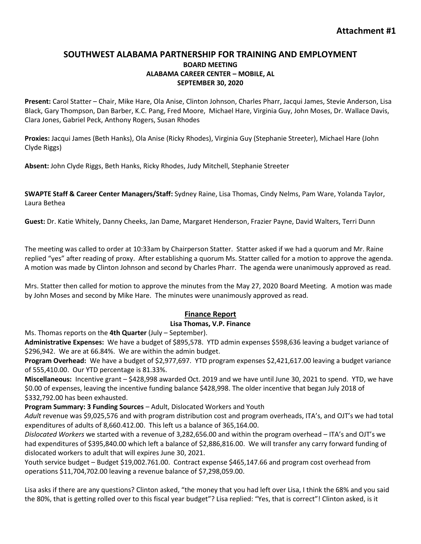# **SOUTHWEST ALABAMA PARTNERSHIP FOR TRAINING AND EMPLOYMENT BOARD MEETING ALABAMA CAREER CENTER – MOBILE, AL SEPTEMBER 30, 2020**

**Present:** Carol Statter – Chair, Mike Hare, Ola Anise, Clinton Johnson, Charles Pharr, Jacqui James, Stevie Anderson, Lisa Black, Gary Thompson, Dan Barber, K.C. Pang, Fred Moore, Michael Hare, Virginia Guy, John Moses, Dr. Wallace Davis, Clara Jones, Gabriel Peck, Anthony Rogers, Susan Rhodes

**Proxies:** Jacqui James (Beth Hanks), Ola Anise (Ricky Rhodes), Virginia Guy (Stephanie Streeter), Michael Hare (John Clyde Riggs)

**Absent:** John Clyde Riggs, Beth Hanks, Ricky Rhodes, Judy Mitchell, Stephanie Streeter

**SWAPTE Staff & Career Center Managers/Staff:** Sydney Raine, Lisa Thomas, Cindy Nelms, Pam Ware, Yolanda Taylor, Laura Bethea

**Guest:** Dr. Katie Whitely, Danny Cheeks, Jan Dame, Margaret Henderson, Frazier Payne, David Walters, Terri Dunn

The meeting was called to order at 10:33am by Chairperson Statter. Statter asked if we had a quorum and Mr. Raine replied "yes" after reading of proxy. After establishing a quorum Ms. Statter called for a motion to approve the agenda. A motion was made by Clinton Johnson and second by Charles Pharr. The agenda were unanimously approved as read.

Mrs. Statter then called for motion to approve the minutes from the May 27, 2020 Board Meeting. A motion was made by John Moses and second by Mike Hare. The minutes were unanimously approved as read.

## **Finance Report**

#### **Lisa Thomas, V.P. Finance**

Ms. Thomas reports on the **4th Quarter** (July – September).

**Administrative Expenses:** We have a budget of \$895,578. YTD admin expenses \$598,636 leaving a budget variance of \$296,942. We are at 66.84%. We are within the admin budget.

**Program Overhead:** We have a budget of \$2,977,697. YTD program expenses \$2,421,617.00 leaving a budget variance of 555,410.00. Our YTD percentage is 81.33%.

**Miscellaneous:** Incentive grant – \$428,998 awarded Oct. 2019 and we have until June 30, 2021 to spend. YTD, we have \$0.00 of expenses, leaving the incentive funding balance \$428,998. The older incentive that began July 2018 of \$332,792.00 has been exhausted.

**Program Summary: 3 Funding Sources** – Adult, Dislocated Workers and Youth

*Adult* revenue was \$9,025,576 and with program distribution cost and program overheads, ITA's, and OJT's we had total expenditures of adults of 8,660.412.00. This left us a balance of 365,164.00.

*Dislocated Workers* we started with a revenue of 3,282,656.00 and within the program overhead – ITA's and OJT's we had expenditures of \$395,840.00 which left a balance of \$2,886,816.00. We will transfer any carry forward funding of dislocated workers to adult that will expires June 30, 2021.

Youth service budget – Budget \$19,002.761.00. Contract expense \$465,147.66 and program cost overhead from operations \$11,704,702.00 leaving a revenue balance of \$7,298,059.00.

Lisa asks if there are any questions? Clinton asked, "the money that you had left over Lisa, I think the 68% and you said the 80%, that is getting rolled over to this fiscal year budget"? Lisa replied: "Yes, that is correct"! Clinton asked, is it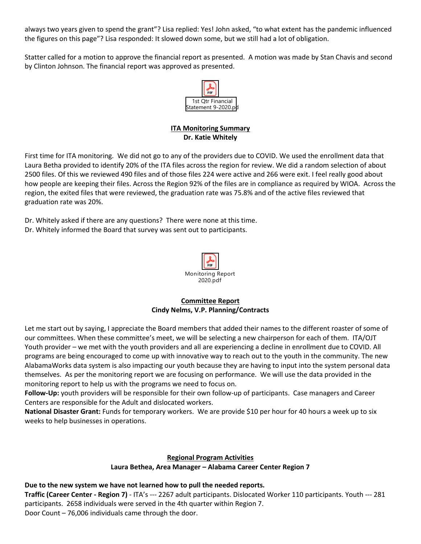always two years given to spend the grant"? Lisa replied: Yes! John asked, "to what extent has the pandemic influenced the figures on this page"? Lisa responded: It slowed down some, but we still had a lot of obligation.

Statter called for a motion to approve the financial report as presented. A motion was made by Stan Chavis and second by Clinton Johnson. The financial report was approved as presented.



# **ITA Monitoring Summary Dr. Katie Whitely**

First time for ITA monitoring. We did not go to any of the providers due to COVID. We used the enrollment data that Laura Betha provided to identify 20% of the ITA files across the region for review. We did a random selection of about 2500 files. Of this we reviewed 490 files and of those files 224 were active and 266 were exit. I feel really good about how people are keeping their files. Across the Region 92% of the files are in compliance as required by WIOA. Across the region, the exited files that were reviewed, the graduation rate was 75.8% and of the active files reviewed that graduation rate was 20%.

Dr. Whitely asked if there are any questions? There were none at this time. Dr. Whitely informed the Board that survey was sent out to participants.



## **Committee Report Cindy Nelms, V.P. Planning/Contracts**

Let me start out by saying, I appreciate the Board members that added their names to the different roaster of some of our committees. When these committee's meet, we will be selecting a new chairperson for each of them. ITA/OJT Youth provider – we met with the youth providers and all are experiencing a decline in enrollment due to COVID. All programs are being encouraged to come up with innovative way to reach out to the youth in the community. The new AlabamaWorks data system is also impacting our youth because they are having to input into the system personal data themselves. As per the monitoring report we are focusing on performance. We will use the data provided in the monitoring report to help us with the programs we need to focus on.

**Follow-Up:** youth providers will be responsible for their own follow-up of participants. Case managers and Career Centers are responsible for the Adult and dislocated workers.

**National Disaster Grant:** Funds for temporary workers. We are provide \$10 per hour for 40 hours a week up to six weeks to help businesses in operations.

## **Regional Program Activities**

## **Laura Bethea, Area Manager – Alabama Career Center Region 7**

**Due to the new system we have not learned how to pull the needed reports. Traffic (Career Center - Region 7)** - ITA's --- 2267 adult participants. Dislocated Worker 110 participants. Youth --- 281 participants. 2658 individuals were served in the 4th quarter within Region 7. Door Count – 76,006 individuals came through the door.